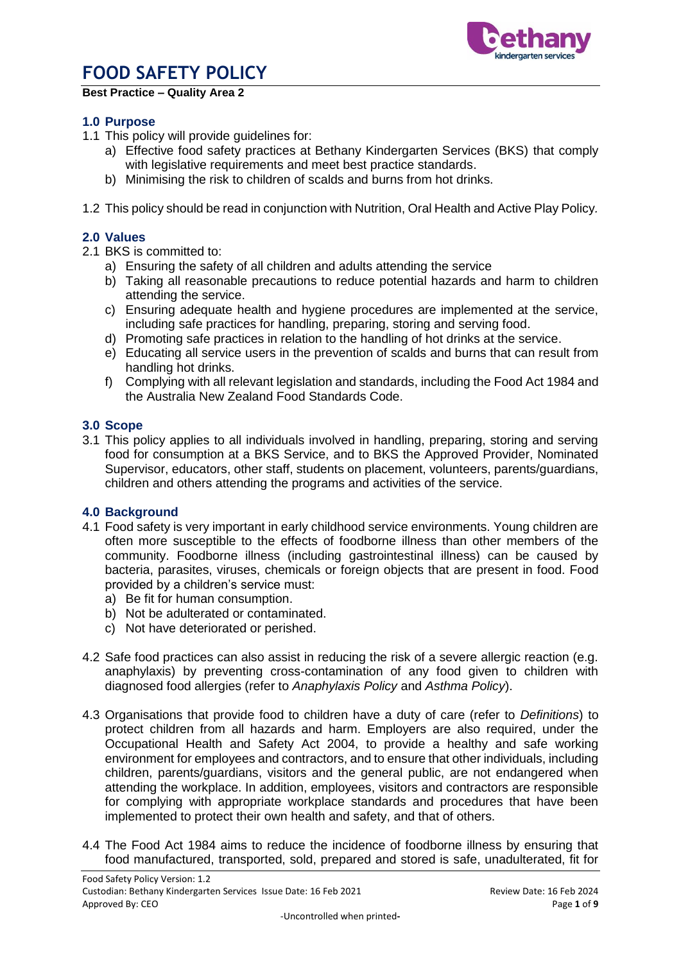

**Best Practice – Quality Area 2**

### **1.0 Purpose**

- 1.1 This policy will provide guidelines for:
	- a) Effective food safety practices at Bethany Kindergarten Services (BKS) that comply with legislative requirements and meet best practice standards.
	- b) Minimising the risk to children of scalds and burns from hot drinks.
- 1.2 This policy should be read in conjunction with Nutrition, Oral Health and Active Play Policy*.*

### **2.0 Values**

- 2.1 BKS is committed to:
	- a) Ensuring the safety of all children and adults attending the service
	- b) Taking all reasonable precautions to reduce potential hazards and harm to children attending the service.
	- c) Ensuring adequate health and hygiene procedures are implemented at the service, including safe practices for handling, preparing, storing and serving food.
	- d) Promoting safe practices in relation to the handling of hot drinks at the service.
	- e) Educating all service users in the prevention of scalds and burns that can result from handling hot drinks.
	- f) Complying with all relevant legislation and standards, including the Food Act 1984 and the Australia New Zealand Food Standards Code.

#### **3.0 Scope**

3.1 This policy applies to all individuals involved in handling, preparing, storing and serving food for consumption at a BKS Service, and to BKS the Approved Provider, Nominated Supervisor, educators, other staff, students on placement, volunteers, parents/guardians, children and others attending the programs and activities of the service.

### **4.0 Background**

- 4.1 Food safety is very important in early childhood service environments. Young children are often more susceptible to the effects of foodborne illness than other members of the community. Foodborne illness (including gastrointestinal illness) can be caused by bacteria, parasites, viruses, chemicals or foreign objects that are present in food. Food provided by a children's service must:
	- a) Be fit for human consumption.
	- b) Not be adulterated or contaminated.
	- c) Not have deteriorated or perished.
- 4.2 Safe food practices can also assist in reducing the risk of a severe allergic reaction (e.g. anaphylaxis) by preventing cross-contamination of any food given to children with diagnosed food allergies (refer to *Anaphylaxis Policy* and *Asthma Policy*).
- 4.3 Organisations that provide food to children have a duty of care (refer to *Definitions*) to protect children from all hazards and harm. Employers are also required, under the Occupational Health and Safety Act 2004, to provide a healthy and safe working environment for employees and contractors, and to ensure that other individuals, including children, parents/guardians, visitors and the general public, are not endangered when attending the workplace. In addition, employees, visitors and contractors are responsible for complying with appropriate workplace standards and procedures that have been implemented to protect their own health and safety, and that of others.
- 4.4 The Food Act 1984 aims to reduce the incidence of foodborne illness by ensuring that food manufactured, transported, sold, prepared and stored is safe, unadulterated, fit for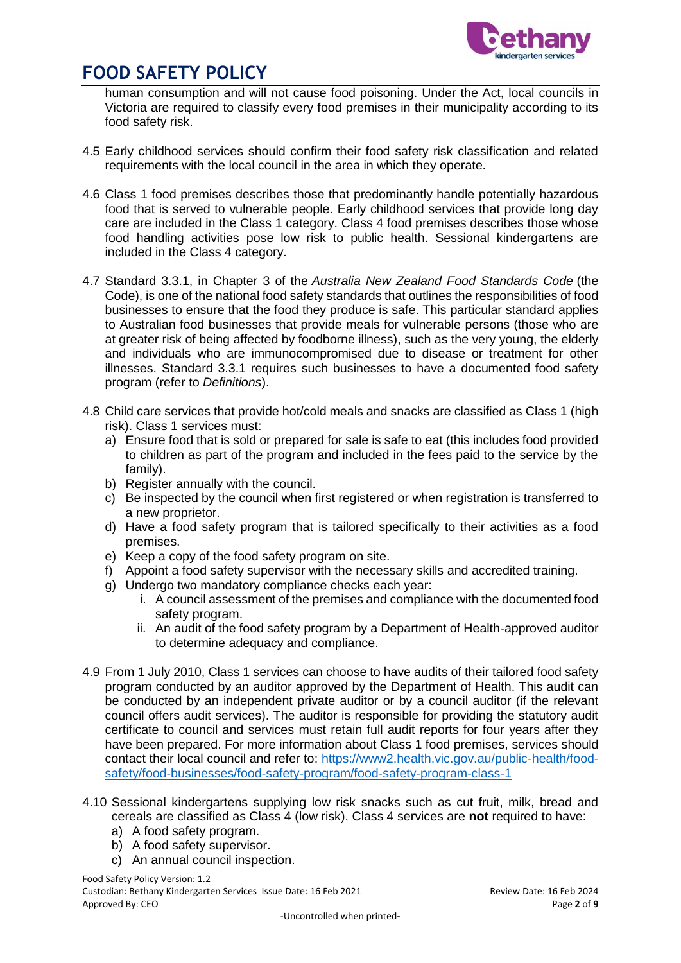

human consumption and will not cause food poisoning. Under the Act, local councils in Victoria are required to classify every food premises in their municipality according to its food safety risk.

- 4.5 Early childhood services should confirm their food safety risk classification and related requirements with the local council in the area in which they operate.
- 4.6 Class 1 food premises describes those that predominantly handle potentially hazardous food that is served to vulnerable people. Early childhood services that provide long day care are included in the Class 1 category. Class 4 food premises describes those whose food handling activities pose low risk to public health. Sessional kindergartens are included in the Class 4 category.
- 4.7 Standard 3.3.1, in Chapter 3 of the *Australia New Zealand Food Standards Code* (the Code), is one of the national food safety standards that outlines the responsibilities of food businesses to ensure that the food they produce is safe. This particular standard applies to Australian food businesses that provide meals for vulnerable persons (those who are at greater risk of being affected by foodborne illness), such as the very young, the elderly and individuals who are immunocompromised due to disease or treatment for other illnesses. Standard 3.3.1 requires such businesses to have a documented food safety program (refer to *Definitions*).
- 4.8 Child care services that provide hot/cold meals and snacks are classified as Class 1 (high risk). Class 1 services must:
	- a) Ensure food that is sold or prepared for sale is safe to eat (this includes food provided to children as part of the program and included in the fees paid to the service by the family).
	- b) Register annually with the council.
	- c) Be inspected by the council when first registered or when registration is transferred to a new proprietor.
	- d) Have a food safety program that is tailored specifically to their activities as a food premises.
	- e) Keep a copy of the food safety program on site.
	- f) Appoint a food safety supervisor with the necessary skills and accredited training.
	- g) Undergo two mandatory compliance checks each year:
		- i. A council assessment of the premises and compliance with the documented food safety program.
		- ii. An audit of the food safety program by a Department of Health-approved auditor to determine adequacy and compliance.
- 4.9 From 1 July 2010, Class 1 services can choose to have audits of their tailored food safety program conducted by an auditor approved by the Department of Health. This audit can be conducted by an independent private auditor or by a council auditor (if the relevant council offers audit services). The auditor is responsible for providing the statutory audit certificate to council and services must retain full audit reports for four years after they have been prepared. For more information about Class 1 food premises, services should contact their local council and refer to: [https://www2.health.vic.gov.au/public-health/food](https://www2.health.vic.gov.au/public-health/food-safety/food-businesses/food-safety-program/food-safety-program-class-1)[safety/food-businesses/food-safety-program/food-safety-program-class-1](https://www2.health.vic.gov.au/public-health/food-safety/food-businesses/food-safety-program/food-safety-program-class-1)
- 4.10 Sessional kindergartens supplying low risk snacks such as cut fruit, milk, bread and cereals are classified as Class 4 (low risk). Class 4 services are **not** required to have:
	- a) A food safety program.
	- b) A food safety supervisor.
	- c) An annual council inspection.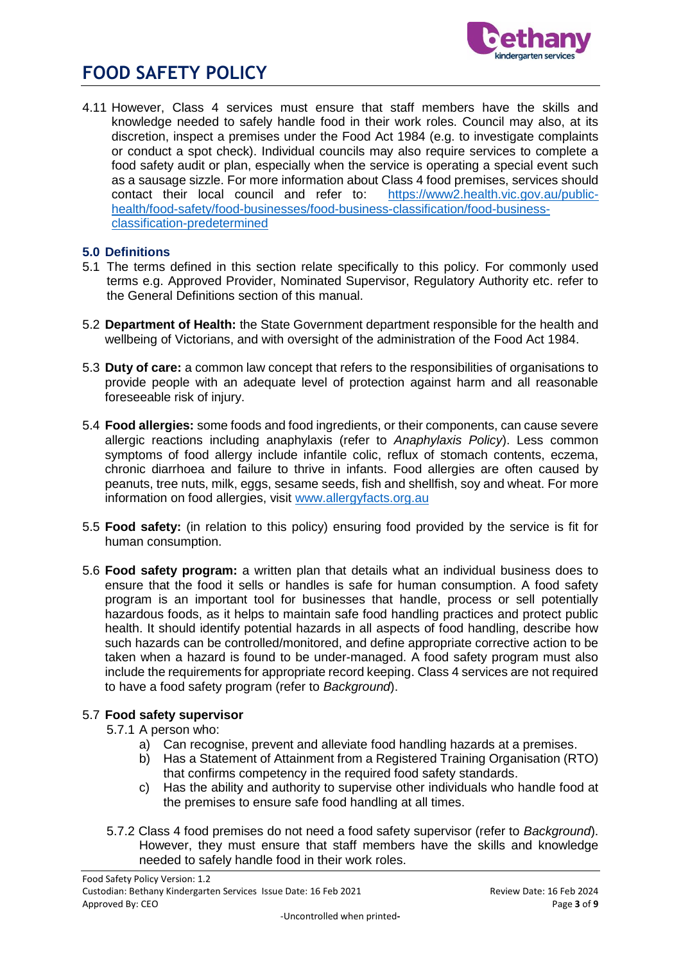

4.11 However, Class 4 services must ensure that staff members have the skills and knowledge needed to safely handle food in their work roles. Council may also, at its discretion, inspect a premises under the Food Act 1984 (e.g. to investigate complaints or conduct a spot check). Individual councils may also require services to complete a food safety audit or plan, especially when the service is operating a special event such as a sausage sizzle. For more information about Class 4 food premises, services should contact their local council and refer to: [https://www2.health.vic.gov.au/public](https://www2.health.vic.gov.au/public-health/food-safety/food-businesses/food-business-classification/food-business-classification-predetermined)[health/food-safety/food-businesses/food-business-classification/food-business](https://www2.health.vic.gov.au/public-health/food-safety/food-businesses/food-business-classification/food-business-classification-predetermined)[classification-predetermined](https://www2.health.vic.gov.au/public-health/food-safety/food-businesses/food-business-classification/food-business-classification-predetermined)

### **5.0 Definitions**

- 5.1 The terms defined in this section relate specifically to this policy. For commonly used terms e.g. Approved Provider, Nominated Supervisor, Regulatory Authority etc. refer to the General Definitions section of this manual.
- 5.2 **Department of Health:** the State Government department responsible for the health and wellbeing of Victorians, and with oversight of the administration of the Food Act 1984.
- 5.3 **Duty of care:** a common law concept that refers to the responsibilities of organisations to provide people with an adequate level of protection against harm and all reasonable foreseeable risk of injury.
- 5.4 **Food allergies:** some foods and food ingredients, or their components, can cause severe allergic reactions including anaphylaxis (refer to *Anaphylaxis Policy*). Less common symptoms of food allergy include infantile colic, reflux of stomach contents, eczema, chronic diarrhoea and failure to thrive in infants. Food allergies are often caused by peanuts, tree nuts, milk, eggs, sesame seeds, fish and shellfish, soy and wheat. For more information on food allergies, visit [www.allergyfacts.org.au](http://www.allergyfacts.org.au/)
- 5.5 **Food safety:** (in relation to this policy) ensuring food provided by the service is fit for human consumption.
- 5.6 **Food safety program:** a written plan that details what an individual business does to ensure that the food it sells or handles is safe for human consumption. A food safety program is an important tool for businesses that handle, process or sell potentially hazardous foods, as it helps to maintain safe food handling practices and protect public health. It should identify potential hazards in all aspects of food handling, describe how such hazards can be controlled/monitored, and define appropriate corrective action to be taken when a hazard is found to be under-managed. A food safety program must also include the requirements for appropriate record keeping. Class 4 services are not required to have a food safety program (refer to *Background*).

### 5.7 **Food safety supervisor**

- 5.7.1 A person who:
	- a) Can recognise, prevent and alleviate food handling hazards at a premises.
	- b) Has a Statement of Attainment from a Registered Training Organisation (RTO) that confirms competency in the required food safety standards.
	- c) Has the ability and authority to supervise other individuals who handle food at the premises to ensure safe food handling at all times.
- 5.7.2 Class 4 food premises do not need a food safety supervisor (refer to *Background*). However, they must ensure that staff members have the skills and knowledge needed to safely handle food in their work roles.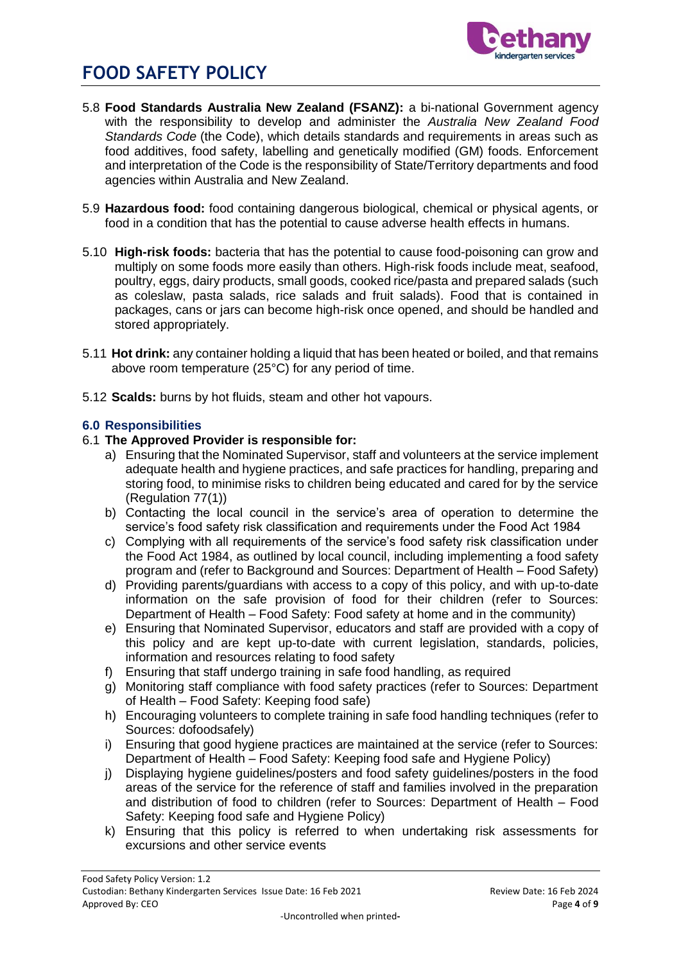

- 5.8 **Food Standards Australia New Zealand (FSANZ):** a bi-national Government agency with the responsibility to develop and administer the *Australia New Zealand Food Standards Code* (the Code), which details standards and requirements in areas such as food additives, food safety, labelling and genetically modified (GM) foods. Enforcement and interpretation of the Code is the responsibility of State/Territory departments and food agencies within Australia and New Zealand.
- 5.9 **Hazardous food:** food containing dangerous biological, chemical or physical agents, or food in a condition that has the potential to cause adverse health effects in humans.
- 5.10 **High-risk foods:** bacteria that has the potential to cause food-poisoning can grow and multiply on some foods more easily than others. High-risk foods include meat, seafood, poultry, eggs, dairy products, small goods, cooked rice/pasta and prepared salads (such as coleslaw, pasta salads, rice salads and fruit salads). Food that is contained in packages, cans or jars can become high-risk once opened, and should be handled and stored appropriately.
- 5.11 **Hot drink:** any container holding a liquid that has been heated or boiled, and that remains above room temperature (25°C) for any period of time.
- 5.12 **Scalds:** burns by hot fluids, steam and other hot vapours.

### **6.0 Responsibilities**

#### 6.1 **The Approved Provider is responsible for:**

- a) Ensuring that the Nominated Supervisor, staff and volunteers at the service implement adequate health and hygiene practices, and safe practices for handling, preparing and storing food, to minimise risks to children being educated and cared for by the service (Regulation 77(1))
- b) Contacting the local council in the service's area of operation to determine the service's food safety risk classification and requirements under the Food Act 1984
- c) Complying with all requirements of the service's food safety risk classification under the Food Act 1984, as outlined by local council, including implementing a food safety program and (refer to Background and Sources: Department of Health – Food Safety)
- d) Providing parents/guardians with access to a copy of this policy, and with up-to-date information on the safe provision of food for their children (refer to Sources: Department of Health – Food Safety: Food safety at home and in the community)
- e) Ensuring that Nominated Supervisor, educators and staff are provided with a copy of this policy and are kept up-to-date with current legislation, standards, policies, information and resources relating to food safety
- f) Ensuring that staff undergo training in safe food handling, as required
- g) Monitoring staff compliance with food safety practices (refer to Sources: Department of Health – Food Safety: Keeping food safe)
- h) Encouraging volunteers to complete training in safe food handling techniques (refer to Sources: dofoodsafely)
- i) Ensuring that good hygiene practices are maintained at the service (refer to Sources: Department of Health – Food Safety: Keeping food safe and Hygiene Policy)
- j) Displaying hygiene guidelines/posters and food safety guidelines/posters in the food areas of the service for the reference of staff and families involved in the preparation and distribution of food to children (refer to Sources: Department of Health – Food Safety: Keeping food safe and Hygiene Policy)
- k) Ensuring that this policy is referred to when undertaking risk assessments for excursions and other service events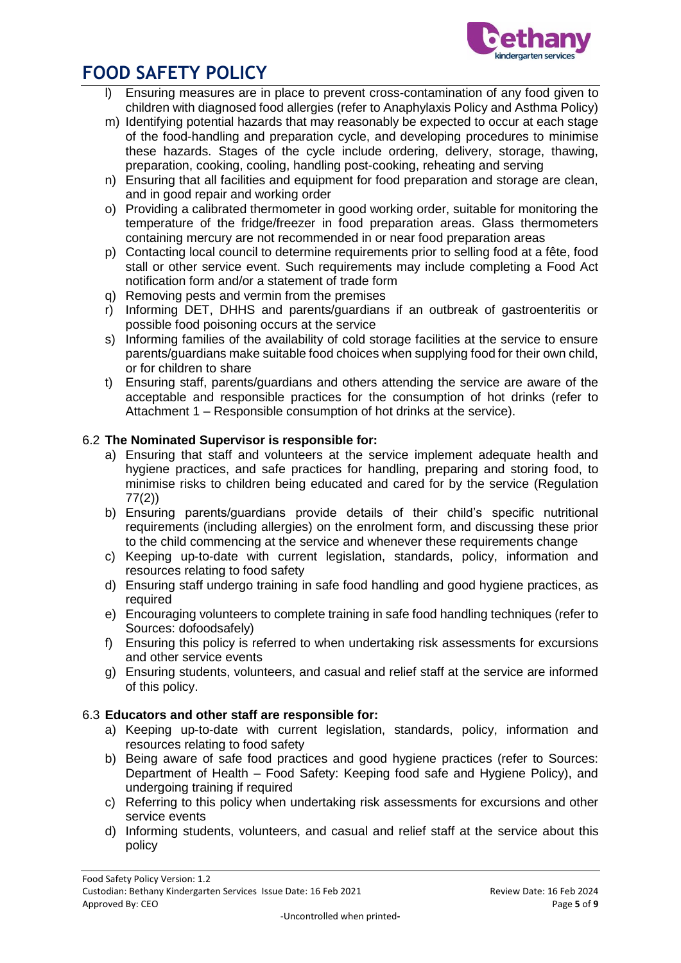

- l) Ensuring measures are in place to prevent cross-contamination of any food given to children with diagnosed food allergies (refer to Anaphylaxis Policy and Asthma Policy)
- m) Identifying potential hazards that may reasonably be expected to occur at each stage of the food-handling and preparation cycle, and developing procedures to minimise these hazards. Stages of the cycle include ordering, delivery, storage, thawing, preparation, cooking, cooling, handling post-cooking, reheating and serving
- n) Ensuring that all facilities and equipment for food preparation and storage are clean, and in good repair and working order
- o) Providing a calibrated thermometer in good working order, suitable for monitoring the temperature of the fridge/freezer in food preparation areas. Glass thermometers containing mercury are not recommended in or near food preparation areas
- p) Contacting local council to determine requirements prior to selling food at a fête, food stall or other service event. Such requirements may include completing a Food Act notification form and/or a statement of trade form
- q) Removing pests and vermin from the premises
- r) Informing DET, DHHS and parents/guardians if an outbreak of gastroenteritis or possible food poisoning occurs at the service
- s) Informing families of the availability of cold storage facilities at the service to ensure parents/guardians make suitable food choices when supplying food for their own child, or for children to share
- t) Ensuring staff, parents/guardians and others attending the service are aware of the acceptable and responsible practices for the consumption of hot drinks (refer to Attachment 1 – Responsible consumption of hot drinks at the service).

### 6.2 **The Nominated Supervisor is responsible for:**

- a) Ensuring that staff and volunteers at the service implement adequate health and hygiene practices, and safe practices for handling, preparing and storing food, to minimise risks to children being educated and cared for by the service (Regulation 77(2))
- b) Ensuring parents/guardians provide details of their child's specific nutritional requirements (including allergies) on the enrolment form, and discussing these prior to the child commencing at the service and whenever these requirements change
- c) Keeping up-to-date with current legislation, standards, policy, information and resources relating to food safety
- d) Ensuring staff undergo training in safe food handling and good hygiene practices, as required
- e) Encouraging volunteers to complete training in safe food handling techniques (refer to Sources: dofoodsafely)
- f) Ensuring this policy is referred to when undertaking risk assessments for excursions and other service events
- g) Ensuring students, volunteers, and casual and relief staff at the service are informed of this policy.

### 6.3 **Educators and other staff are responsible for:**

- a) Keeping up-to-date with current legislation, standards, policy, information and resources relating to food safety
- b) Being aware of safe food practices and good hygiene practices (refer to Sources: Department of Health – Food Safety: Keeping food safe and Hygiene Policy), and undergoing training if required
- c) Referring to this policy when undertaking risk assessments for excursions and other service events
- d) Informing students, volunteers, and casual and relief staff at the service about this policy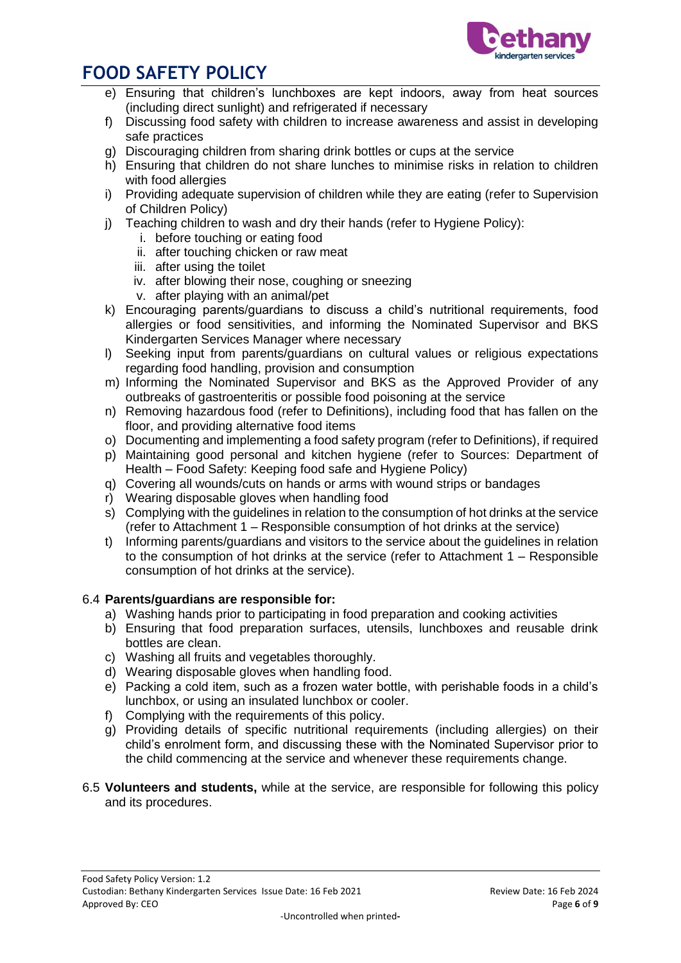

- e) Ensuring that children's lunchboxes are kept indoors, away from heat sources (including direct sunlight) and refrigerated if necessary
- f) Discussing food safety with children to increase awareness and assist in developing safe practices
- g) Discouraging children from sharing drink bottles or cups at the service
- h) Ensuring that children do not share lunches to minimise risks in relation to children with food allergies
- i) Providing adequate supervision of children while they are eating (refer to Supervision of Children Policy)
- j) Teaching children to wash and dry their hands (refer to Hygiene Policy):
	- i. before touching or eating food
		- ii. after touching chicken or raw meat
	- iii. after using the toilet
	- iv. after blowing their nose, coughing or sneezing
	- v. after playing with an animal/pet
- k) Encouraging parents/guardians to discuss a child's nutritional requirements, food allergies or food sensitivities, and informing the Nominated Supervisor and BKS Kindergarten Services Manager where necessary
- l) Seeking input from parents/guardians on cultural values or religious expectations regarding food handling, provision and consumption
- m) Informing the Nominated Supervisor and BKS as the Approved Provider of any outbreaks of gastroenteritis or possible food poisoning at the service
- n) Removing hazardous food (refer to Definitions), including food that has fallen on the floor, and providing alternative food items
- o) Documenting and implementing a food safety program (refer to Definitions), if required
- p) Maintaining good personal and kitchen hygiene (refer to Sources: Department of Health – Food Safety: Keeping food safe and Hygiene Policy)
- q) Covering all wounds/cuts on hands or arms with wound strips or bandages
- r) Wearing disposable gloves when handling food
- s) Complying with the guidelines in relation to the consumption of hot drinks at the service (refer to Attachment 1 – Responsible consumption of hot drinks at the service)
- t) Informing parents/guardians and visitors to the service about the guidelines in relation to the consumption of hot drinks at the service (refer to Attachment 1 – Responsible consumption of hot drinks at the service).

### 6.4 **Parents/guardians are responsible for:**

- a) Washing hands prior to participating in food preparation and cooking activities
- b) Ensuring that food preparation surfaces, utensils, lunchboxes and reusable drink bottles are clean.
- c) Washing all fruits and vegetables thoroughly.
- d) Wearing disposable gloves when handling food.
- e) Packing a cold item, such as a frozen water bottle, with perishable foods in a child's lunchbox, or using an insulated lunchbox or cooler.
- f) Complying with the requirements of this policy.
- g) Providing details of specific nutritional requirements (including allergies) on their child's enrolment form, and discussing these with the Nominated Supervisor prior to the child commencing at the service and whenever these requirements change.
- 6.5 **Volunteers and students,** while at the service, are responsible for following this policy and its procedures.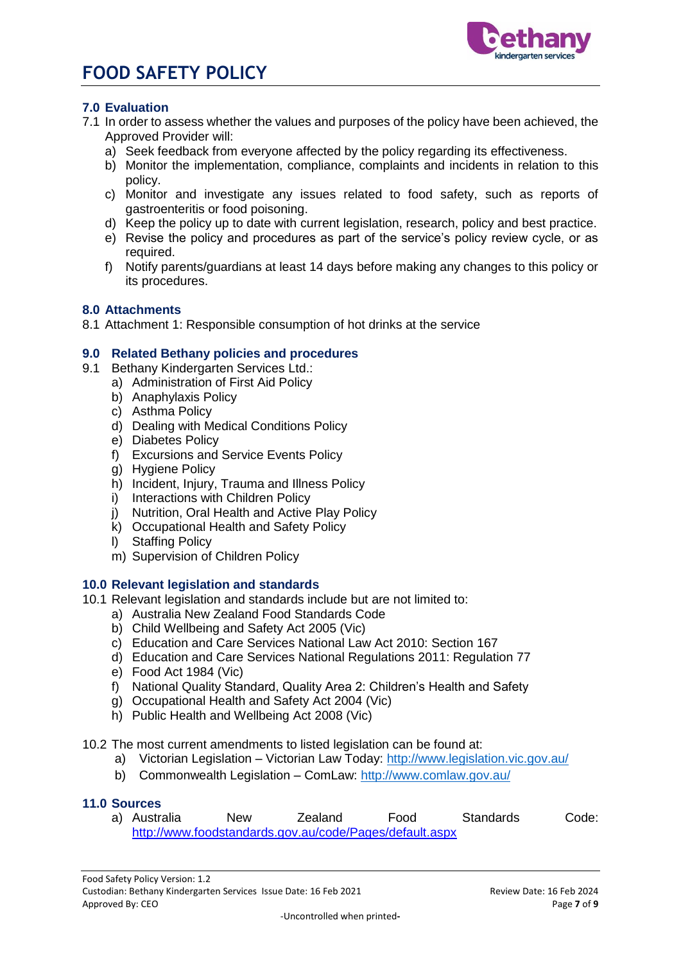

### **7.0 Evaluation**

- 7.1 In order to assess whether the values and purposes of the policy have been achieved, the Approved Provider will:
	- a) Seek feedback from everyone affected by the policy regarding its effectiveness.
	- b) Monitor the implementation, compliance, complaints and incidents in relation to this policy.
	- c) Monitor and investigate any issues related to food safety, such as reports of gastroenteritis or food poisoning.
	- d) Keep the policy up to date with current legislation, research, policy and best practice.
	- e) Revise the policy and procedures as part of the service's policy review cycle, or as required.
	- f) Notify parents/guardians at least 14 days before making any changes to this policy or its procedures.

### **8.0 Attachments**

8.1 Attachment 1: Responsible consumption of hot drinks at the service

### **9.0 Related Bethany policies and procedures**

- 9.1 Bethany Kindergarten Services Ltd.:
	- a) Administration of First Aid Policy
	- b) Anaphylaxis Policy
	- c) Asthma Policy
	- d) Dealing with Medical Conditions Policy
	- e) Diabetes Policy
	- f) Excursions and Service Events Policy
	- g) Hygiene Policy
	- h) Incident, Injury, Trauma and Illness Policy
	- i) Interactions with Children Policy
	- j) Nutrition, Oral Health and Active Play Policy
	- k) Occupational Health and Safety Policy
	- l) Staffing Policy
	- m) Supervision of Children Policy

### **10.0 Relevant legislation and standards**

- 10.1 Relevant legislation and standards include but are not limited to:
	- a) Australia New Zealand Food Standards Code
	- b) Child Wellbeing and Safety Act 2005 (Vic)
	- c) Education and Care Services National Law Act 2010: Section 167
	- d) Education and Care Services National Regulations 2011: Regulation 77
	- e) Food Act 1984 (Vic)
	- f) National Quality Standard, Quality Area 2: Children's Health and Safety
	- g) Occupational Health and Safety Act 2004 (Vic)
	- h) Public Health and Wellbeing Act 2008 (Vic)
- 10.2 The most current amendments to listed legislation can be found at:
	- a) Victorian Legislation Victorian Law Today:<http://www.legislation.vic.gov.au/>
	- b) Commonwealth Legislation ComLaw:<http://www.comlaw.gov.au/>

### **11.0 Sources**

a) Australia New Zealand Food Standards Code: <http://www.foodstandards.gov.au/code/Pages/default.aspx>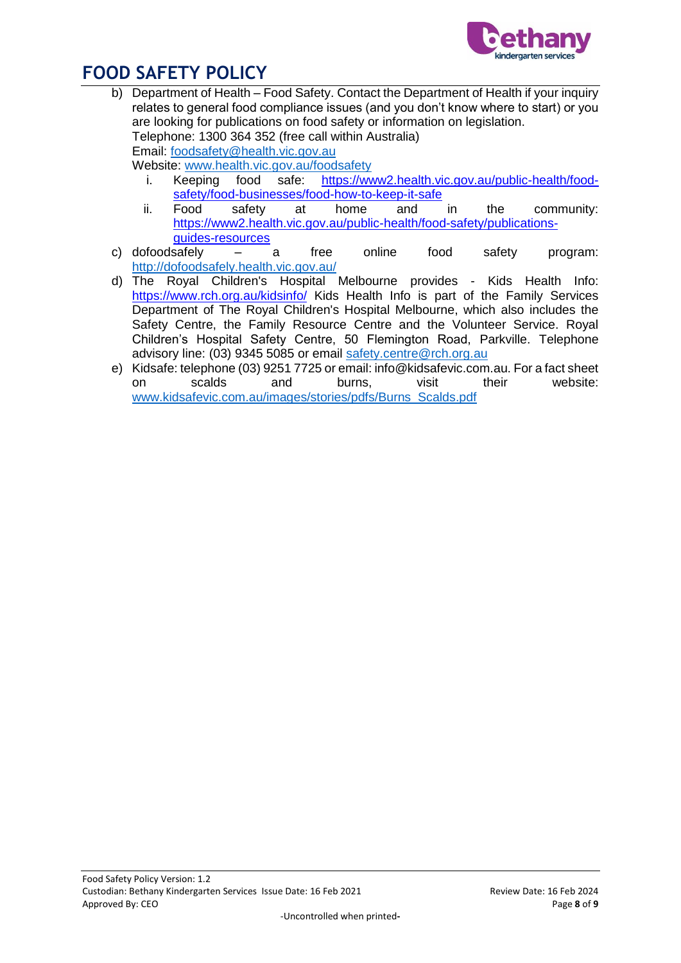

- b) Department of Health Food Safety. Contact the Department of Health if your inquiry relates to general food compliance issues (and you don't know where to start) or you are looking for publications on food safety or information on legislation. Telephone: 1300 364 352 (free call within Australia) Email: [foodsafety@health.vic.gov.au](mailto:foodsafety@health.vic.gov.au) Website: [www.health.vic.gov.au/foodsafety](http://www.health.vic.gov.au/foodsafety)
	- i. Keeping food safe: [https://www2.health.vic.gov.au/public-health/food](https://www2.health.vic.gov.au/public-health/food-safety/food-businesses/food-how-to-keep-it-safe)[safety/food-businesses/food-how-to-keep-it-safe](https://www2.health.vic.gov.au/public-health/food-safety/food-businesses/food-how-to-keep-it-safe)
	- ii. Food safety at home and in the community: [https://www2.health.vic.gov.au/public-health/food-safety/publications](https://www2.health.vic.gov.au/public-health/food-safety/publications-guides-resources)[guides-resources](https://www2.health.vic.gov.au/public-health/food-safety/publications-guides-resources)
- c) dofoodsafely a free online food safety program: <http://dofoodsafely.health.vic.gov.au/>
- d) The Royal Children's Hospital Melbourne provides Kids Health Info: <https://www.rch.org.au/kidsinfo/> Kids Health Info is part of the Family Services Department of The Royal Children's Hospital Melbourne, which also includes the Safety Centre, the Family Resource Centre and the Volunteer Service. Royal Children's Hospital Safety Centre, 50 Flemington Road, Parkville. Telephone advisory line: (03) 9345 5085 or email [safety.centre@rch.org.au](mailto:safety.centre@rch.org.au)
- e) Kidsafe: telephone (03) 9251 7725 or email: info@kidsafevic.com.au. For a fact sheet on scalds and burns, visit their website: [www.kidsafevic.com.au/images/stories/pdfs/Burns\\_Scalds.pdf](http://www.kidsafevic.com.au/images/stories/pdfs/Burns_Scalds.pdf)